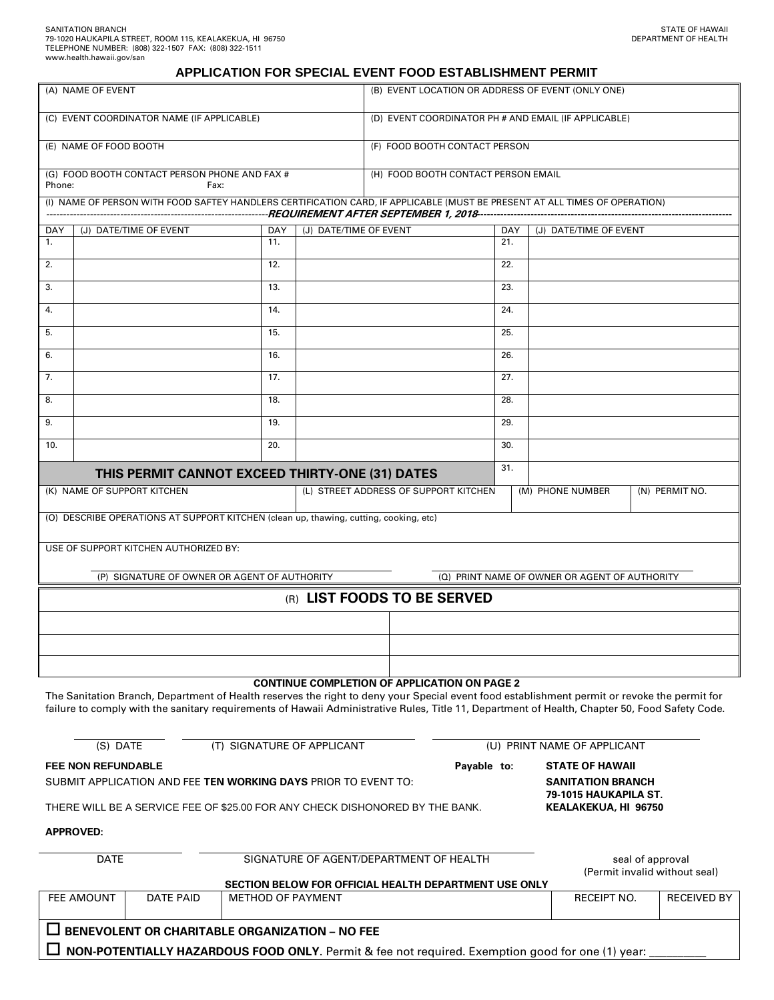#### **APPLICATION FOR SPECIAL EVENT FOOD ESTABLISHMENT PERMIT**

| (A) NAME OF EVENT                                                                                                                                                                                                                                                                                                                                     |     |                          | (B) EVENT LOCATION OR ADDRESS OF EVENT (ONLY ONE)    |             |     |                                               |  |                    |  |  |
|-------------------------------------------------------------------------------------------------------------------------------------------------------------------------------------------------------------------------------------------------------------------------------------------------------------------------------------------------------|-----|--------------------------|------------------------------------------------------|-------------|-----|-----------------------------------------------|--|--------------------|--|--|
| (C) EVENT COORDINATOR NAME (IF APPLICABLE)                                                                                                                                                                                                                                                                                                            |     |                          | (D) EVENT COORDINATOR PH # AND EMAIL (IF APPLICABLE) |             |     |                                               |  |                    |  |  |
| (E) NAME OF FOOD BOOTH                                                                                                                                                                                                                                                                                                                                |     |                          | (F) FOOD BOOTH CONTACT PERSON                        |             |     |                                               |  |                    |  |  |
| (G) FOOD BOOTH CONTACT PERSON PHONE AND FAX #<br>Phone:<br>Fax:                                                                                                                                                                                                                                                                                       |     |                          | (H) FOOD BOOTH CONTACT PERSON EMAIL                  |             |     |                                               |  |                    |  |  |
| (I) NAME OF PERSON WITH FOOD SAFTEY HANDLERS CERTIFICATION CARD, IF APPLICABLE (MUST BE PRESENT AT ALL TIMES OF OPERATION)                                                                                                                                                                                                                            |     |                          |                                                      |             |     |                                               |  |                    |  |  |
| (J) DATE/TIME OF EVENT<br>DAY                                                                                                                                                                                                                                                                                                                         | DAY | (J) DATE/TIME OF EVENT   |                                                      |             | DAY | (J) DATE/TIME OF EVENT                        |  |                    |  |  |
| 1.                                                                                                                                                                                                                                                                                                                                                    | 11. |                          |                                                      |             | 21. |                                               |  |                    |  |  |
| 2.                                                                                                                                                                                                                                                                                                                                                    | 12. |                          |                                                      |             | 22. |                                               |  |                    |  |  |
| 3.                                                                                                                                                                                                                                                                                                                                                    | 13. |                          |                                                      |             | 23. |                                               |  |                    |  |  |
| 4.                                                                                                                                                                                                                                                                                                                                                    | 14. |                          |                                                      |             | 24. |                                               |  |                    |  |  |
| 5.                                                                                                                                                                                                                                                                                                                                                    | 15. |                          |                                                      |             | 25. |                                               |  |                    |  |  |
| 6.                                                                                                                                                                                                                                                                                                                                                    | 16. |                          |                                                      |             | 26. |                                               |  |                    |  |  |
| 7.                                                                                                                                                                                                                                                                                                                                                    | 17. |                          |                                                      |             | 27. |                                               |  |                    |  |  |
| 8.                                                                                                                                                                                                                                                                                                                                                    | 18. |                          |                                                      |             | 28. |                                               |  |                    |  |  |
| 9.                                                                                                                                                                                                                                                                                                                                                    | 19. |                          |                                                      |             | 29. |                                               |  |                    |  |  |
| 10.                                                                                                                                                                                                                                                                                                                                                   | 20. |                          |                                                      |             | 30. |                                               |  |                    |  |  |
| THIS PERMIT CANNOT EXCEED THIRTY-ONE (31) DATES                                                                                                                                                                                                                                                                                                       |     |                          |                                                      |             | 31. |                                               |  |                    |  |  |
| (K) NAME OF SUPPORT KITCHEN<br>(L) STREET ADDRESS OF SUPPORT KITCHEN                                                                                                                                                                                                                                                                                  |     |                          |                                                      |             |     | (M) PHONE NUMBER                              |  | (N) PERMIT NO.     |  |  |
| (O) DESCRIBE OPERATIONS AT SUPPORT KITCHEN (clean up, thawing, cutting, cooking, etc)                                                                                                                                                                                                                                                                 |     |                          |                                                      |             |     |                                               |  |                    |  |  |
| USE OF SUPPORT KITCHEN AUTHORIZED BY:                                                                                                                                                                                                                                                                                                                 |     |                          |                                                      |             |     |                                               |  |                    |  |  |
|                                                                                                                                                                                                                                                                                                                                                       |     |                          |                                                      |             |     |                                               |  |                    |  |  |
| (P) SIGNATURE OF OWNER OR AGENT OF AUTHORITY<br>(Q) PRINT NAME OF OWNER OR AGENT OF AUTHORITY<br>(R) LIST FOODS TO BE SERVED                                                                                                                                                                                                                          |     |                          |                                                      |             |     |                                               |  |                    |  |  |
|                                                                                                                                                                                                                                                                                                                                                       |     |                          |                                                      |             |     |                                               |  |                    |  |  |
|                                                                                                                                                                                                                                                                                                                                                       |     |                          |                                                      |             |     |                                               |  |                    |  |  |
|                                                                                                                                                                                                                                                                                                                                                       |     |                          |                                                      |             |     |                                               |  |                    |  |  |
|                                                                                                                                                                                                                                                                                                                                                       |     |                          |                                                      |             |     |                                               |  |                    |  |  |
| <b>CONTINUE COMPLETION OF APPLICATION ON PAGE 2</b><br>The Sanitation Branch, Department of Health reserves the right to deny your Special event food establishment permit or revoke the permit for<br>failure to comply with the sanitary requirements of Hawaii Administrative Rules, Title 11, Department of Health, Chapter 50, Food Safety Code. |     |                          |                                                      |             |     |                                               |  |                    |  |  |
| (T) SIGNATURE OF APPLICANT<br>(U) PRINT NAME OF APPLICANT<br>(S) DATE                                                                                                                                                                                                                                                                                 |     |                          |                                                      |             |     |                                               |  |                    |  |  |
| <b>FEE NON REFUNDABLE</b>                                                                                                                                                                                                                                                                                                                             |     |                          |                                                      | Payable to: |     | <b>STATE OF HAWAII</b>                        |  |                    |  |  |
| SUBMIT APPLICATION AND FEE TEN WORKING DAYS PRIOR TO EVENT TO:                                                                                                                                                                                                                                                                                        |     |                          |                                                      |             |     | <b>SANITATION BRANCH</b>                      |  |                    |  |  |
| THERE WILL BE A SERVICE FEE OF \$25.00 FOR ANY CHECK DISHONORED BY THE BANK.                                                                                                                                                                                                                                                                          |     |                          |                                                      |             |     | 79-1015 HAUKAPILA ST.<br>KEALAKEKUA, HI 96750 |  |                    |  |  |
| <b>APPROVED:</b>                                                                                                                                                                                                                                                                                                                                      |     |                          |                                                      |             |     |                                               |  |                    |  |  |
| SIGNATURE OF AGENT/DEPARTMENT OF HEALTH<br><b>DATE</b><br>seal of approval                                                                                                                                                                                                                                                                            |     |                          |                                                      |             |     |                                               |  |                    |  |  |
| (Permit invalid without seal)<br>SECTION BELOW FOR OFFICIAL HEALTH DEPARTMENT USE ONLY                                                                                                                                                                                                                                                                |     |                          |                                                      |             |     |                                               |  |                    |  |  |
| FEE AMOUNT<br><b>DATE PAID</b>                                                                                                                                                                                                                                                                                                                        |     | <b>METHOD OF PAYMENT</b> |                                                      |             |     | <b>RECEIPT NO.</b>                            |  | <b>RECEIVED BY</b> |  |  |
| <b>BENEVOLENT OR CHARITABLE ORGANIZATION - NO FEE</b>                                                                                                                                                                                                                                                                                                 |     |                          |                                                      |             |     |                                               |  |                    |  |  |
| NON-POTENTIALLY HAZARDOUS FOOD ONLY. Permit & fee not required. Exemption good for one (1) year:                                                                                                                                                                                                                                                      |     |                          |                                                      |             |     |                                               |  |                    |  |  |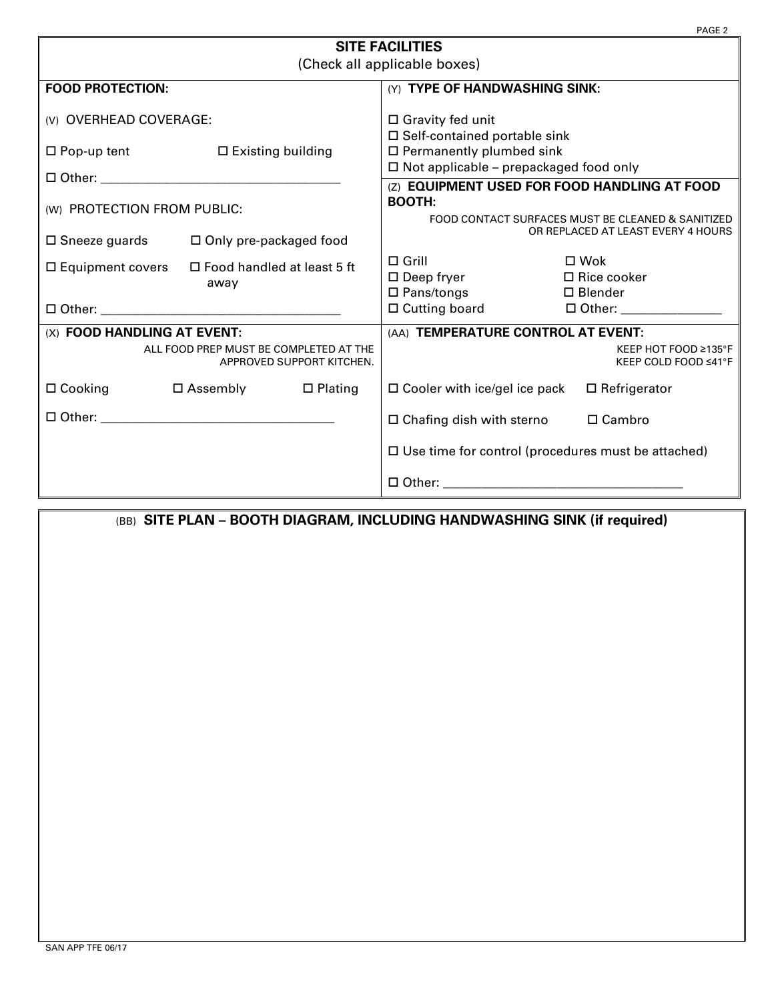|                                                                     |                               |                   |                                                           | PAGE <sub>2</sub>                  |  |  |  |  |
|---------------------------------------------------------------------|-------------------------------|-------------------|-----------------------------------------------------------|------------------------------------|--|--|--|--|
| <b>SITE FACILITIES</b>                                              |                               |                   |                                                           |                                    |  |  |  |  |
| (Check all applicable boxes)                                        |                               |                   |                                                           |                                    |  |  |  |  |
| <b>FOOD PROTECTION:</b>                                             |                               |                   | (Y) TYPE OF HANDWASHING SINK:                             |                                    |  |  |  |  |
| (V) OVERHEAD COVERAGE:                                              |                               |                   | $\Box$ Gravity fed unit<br>□ Self-contained portable sink |                                    |  |  |  |  |
| $\Box$ Pop-up tent<br>$\square$ Existing building                   |                               |                   | $\Box$ Permanently plumbed sink                           |                                    |  |  |  |  |
|                                                                     |                               |                   | $\Box$ Not applicable – prepackaged food only             |                                    |  |  |  |  |
|                                                                     |                               |                   | (Z) EQUIPMENT USED FOR FOOD HANDLING AT FOOD              |                                    |  |  |  |  |
| (W) PROTECTION FROM PUBLIC:                                         |                               |                   | <b>BOOTH:</b>                                             |                                    |  |  |  |  |
|                                                                     |                               |                   | FOOD CONTACT SURFACES MUST BE CLEANED & SANITIZED         |                                    |  |  |  |  |
| $\square$ Sneeze guards                                             | $\Box$ Only pre-packaged food |                   |                                                           | OR REPLACED AT LEAST EVERY 4 HOURS |  |  |  |  |
|                                                                     |                               |                   | $\Box$ Grill                                              | $\square$ Wok                      |  |  |  |  |
| $\Box$ Food handled at least 5 ft<br>$\square$ Equipment covers     |                               |                   | $\square$ Deep fryer                                      | $\Box$ Rice cooker                 |  |  |  |  |
|                                                                     | away                          |                   | $\square$ Pans/tongs                                      | $\Box$ Blender                     |  |  |  |  |
|                                                                     |                               |                   | $\Box$ Cutting board                                      | □ Other: _______________           |  |  |  |  |
| (X) FOOD HANDLING AT EVENT:                                         |                               |                   | (AA) TEMPERATURE CONTROL AT EVENT:                        |                                    |  |  |  |  |
|                                                                     |                               |                   |                                                           | KEEP HOT FOOD ≥135°F               |  |  |  |  |
| ALL FOOD PREP MUST BE COMPLETED AT THE<br>APPROVED SUPPORT KITCHEN. |                               |                   |                                                           | KEEP COLD FOOD ≤41°F               |  |  |  |  |
| $\Box$ Cooking                                                      | □ Assembly                    | $\square$ Plating | $\Box$ Cooler with ice/gel ice pack                       | $\Box$ Refrigerator                |  |  |  |  |
|                                                                     |                               |                   | $\Box$ Chafing dish with sterno $\Box$ Cambro             |                                    |  |  |  |  |
|                                                                     |                               |                   | $\Box$ Use time for control (procedures must be attached) |                                    |  |  |  |  |
|                                                                     |                               |                   |                                                           |                                    |  |  |  |  |

(BB) **SITE PLAN – BOOTH DIAGRAM, INCLUDING HANDWASHING SINK (if required)**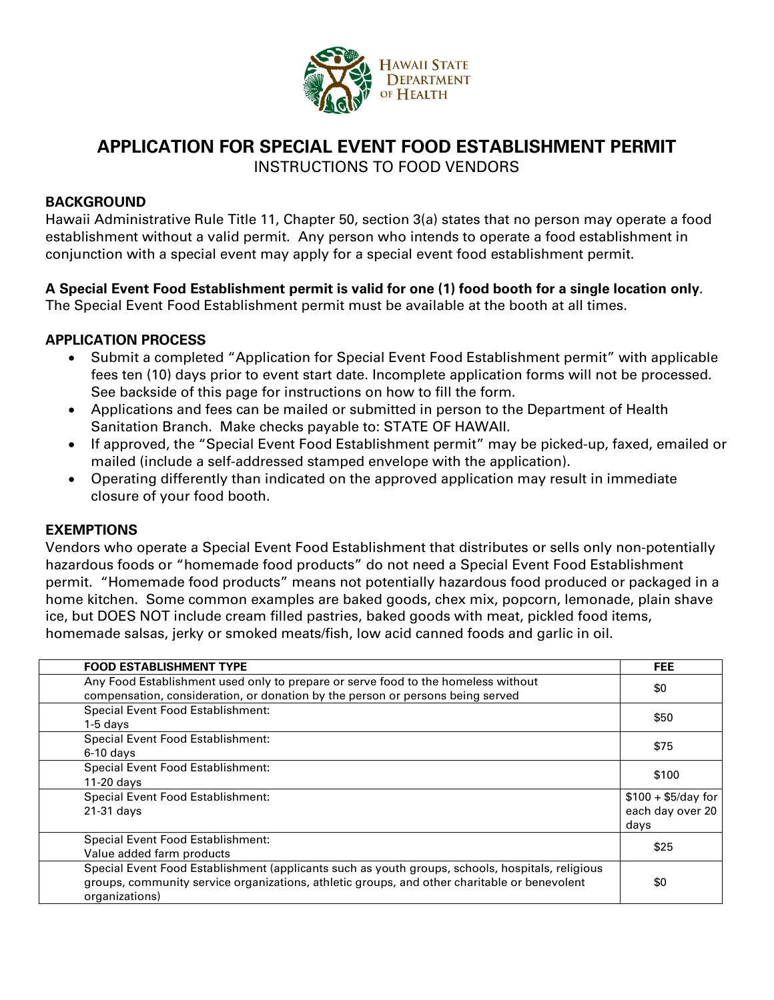

# **APPLICATION FOR SPECIAL EVENT FOOD ESTABLISHMENT PERMIT**

INSTRUCTIONS TO FOOD VENDORS

## **BACKGROUND**

Hawaii Administrative Rule Title 11, Chapter 50, section 3(a) states that no person may operate a food establishment without a valid permit. Any person who intends to operate a food establishment in conjunction with a special event may apply for a special event food establishment permit.

# **A Special Event Food Establishment permit is valid for one (1) food booth for a single location only**.

The Special Event Food Establishment permit must be available at the booth at all times.

# **APPLICATION PROCESS**

- Submit a completed "Application for Special Event Food Establishment permit" with applicable fees ten (10) days prior to event start date. Incomplete application forms will not be processed. See backside of this page for instructions on how to fill the form.
- Applications and fees can be mailed or submitted in person to the Department of Health Sanitation Branch. Make checks payable to: STATE OF HAWAII.
- If approved, the "Special Event Food Establishment permit" may be picked-up, faxed, emailed or mailed (include a self-addressed stamped envelope with the application).
- Operating differently than indicated on the approved application may result in immediate closure of your food booth.

# **EXEMPTIONS**

Vendors who operate a Special Event Food Establishment that distributes or sells only non-potentially hazardous foods or "homemade food products" do not need a Special Event Food Establishment permit. "Homemade food products" means not potentially hazardous food produced or packaged in a home kitchen. Some common examples are baked goods, chex mix, popcorn, lemonade, plain shave ice, but DOES NOT include cream filled pastries, baked goods with meat, pickled food items, homemade salsas, jerky or smoked meats/fish, low acid canned foods and garlic in oil.

| <b>FOOD ESTABLISHMENT TYPE</b>                                                                                                                                                                                     | <b>FEE</b>                                      |
|--------------------------------------------------------------------------------------------------------------------------------------------------------------------------------------------------------------------|-------------------------------------------------|
| Any Food Establishment used only to prepare or serve food to the homeless without<br>compensation, consideration, or donation by the person or persons being served                                                | \$0                                             |
| Special Event Food Establishment:<br>$1-5$ days                                                                                                                                                                    | \$50                                            |
| Special Event Food Establishment:<br>$6-10$ days                                                                                                                                                                   | \$75                                            |
| Special Event Food Establishment:<br>$11-20$ days                                                                                                                                                                  | \$100                                           |
| <b>Special Event Food Establishment:</b><br>21-31 days                                                                                                                                                             | $$100 + $5/day$ for<br>each day over 20<br>days |
| Special Event Food Establishment:<br>Value added farm products                                                                                                                                                     | \$25                                            |
| Special Event Food Establishment (applicants such as youth groups, schools, hospitals, religious<br>groups, community service organizations, athletic groups, and other charitable or benevolent<br>organizations) | \$0                                             |